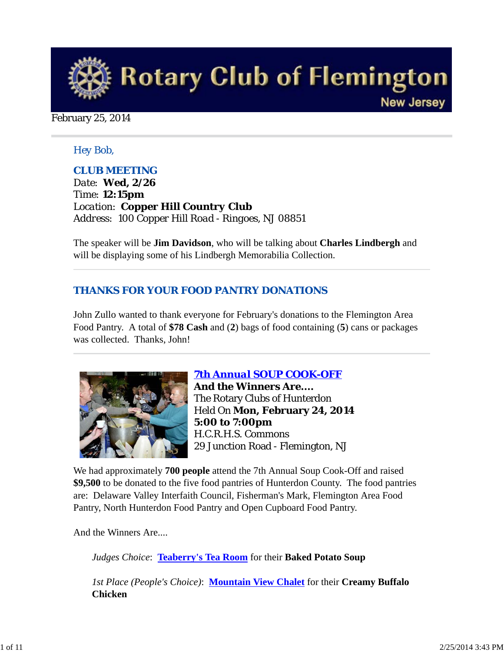

February 25, 2014

### *Hey Bob,*

### *CLUB MEETING*

*Date: Wed, 2/26 Time: 12:15pm Location: Copper Hill Country Club Address: 100 Copper Hill Road - Ringoes, NJ 08851*

The speaker will be **Jim Davidson**, who will be talking about **Charles Lindbergh** and will be displaying some of his Lindbergh Memorabilia Collection.

### *THANKS FOR YOUR FOOD PANTRY DONATIONS*

John Zullo wanted to thank everyone for February's donations to the Flemington Area Food Pantry. A total of **\$78 Cash** and (**2**) bags of food containing (**5**) cans or packages was collected. Thanks, John!



*7th Annual SOUP COOK-OFF* **And the Winners Are....** The Rotary Clubs of Hunterdon Held On **Mon, February 24, 2014 5:00 to 7:00pm** H.C.R.H.S. Commons 29 Junction Road - Flemington, NJ

We had approximately **700 people** attend the 7th Annual Soup Cook-Off and raised **\$9,500** to be donated to the five food pantries of Hunterdon County. The food pantries are: Delaware Valley Interfaith Council, Fisherman's Mark, Flemington Area Food Pantry, North Hunterdon Food Pantry and Open Cupboard Food Pantry.

And the Winners Are....

*Judges Choice*: **Teaberry's Tea Room** for their **Baked Potato Soup**

*1st Place (People's Choice)*: **Mountain View Chalet** for their **Creamy Buffalo Chicken**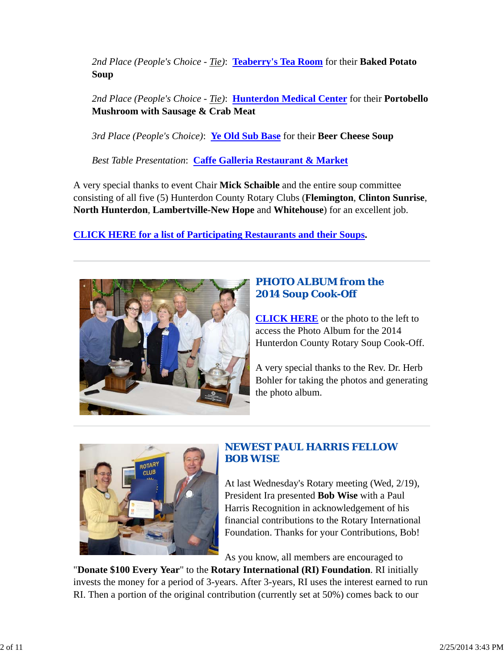*2nd Place (People's Choice - Tie)*: **Teaberry's Tea Room** for their **Baked Potato Soup**

*2nd Place (People's Choice - Tie)*: **Hunterdon Medical Center** for their **Portobello Mushroom with Sausage & Crab Meat**

*3rd Place (People's Choice)*: **Ye Old Sub Base** for their **Beer Cheese Soup**

*Best Table Presentation*: **Caffe Galleria Restaurant & Market**

A very special thanks to event Chair **Mick Schaible** and the entire soup committee consisting of all five (5) Hunterdon County Rotary Clubs (**Flemington**, **Clinton Sunrise**, **North Hunterdon**, **Lambertville-New Hope** and **Whitehouse**) for an excellent job.

**CLICK HERE for a list of Participating Restaurants and their Soups.**



## *PHOTO ALBUM from the 2014 Soup Cook-Off*

**CLICK HERE** or the photo to the left to access the Photo Album for the 2014 Hunterdon County Rotary Soup Cook-Off.

A very special thanks to the Rev. Dr. Herb Bohler for taking the photos and generating the photo album.



# *NEWEST PAUL HARRIS FELLOW BOB WISE*

At last Wednesday's Rotary meeting (Wed, 2/19), President Ira presented **Bob Wise** with a Paul Harris Recognition in acknowledgement of his financial contributions to the Rotary International Foundation. Thanks for your Contributions, Bob!

As you know, all members are encouraged to

"**Donate \$100 Every Year**" to the **Rotary International (RI) Foundation**. RI initially invests the money for a period of 3-years. After 3-years, RI uses the interest earned to run RI. Then a portion of the original contribution (currently set at 50%) comes back to our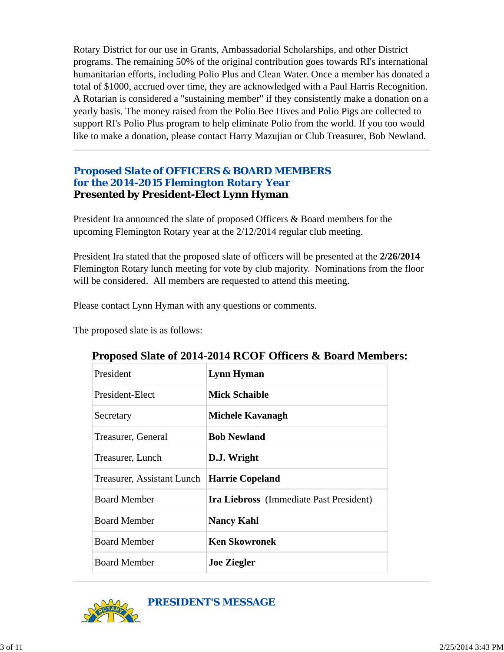Rotary District for our use in Grants, Ambassadorial Scholarships, and other District programs. The remaining 50% of the original contribution goes towards RI's international humanitarian efforts, including Polio Plus and Clean Water. Once a member has donated a total of \$1000, accrued over time, they are acknowledged with a Paul Harris Recognition. A Rotarian is considered a "sustaining member" if they consistently make a donation on a yearly basis. The money raised from the Polio Bee Hives and Polio Pigs are collected to support RI's Polio Plus program to help eliminate Polio from the world. If you too would like to make a donation, please contact Harry Mazujian or Club Treasurer, Bob Newland.

## *Proposed Slate of OFFICERS & BOARD MEMBERS for the 2014-2015 Flemington Rotary Year* **Presented by President-Elect Lynn Hyman**

President Ira announced the slate of proposed Officers & Board members for the upcoming Flemington Rotary year at the 2/12/2014 regular club meeting.

President Ira stated that the proposed slate of officers will be presented at the **2/26/2014** Flemington Rotary lunch meeting for vote by club majority. Nominations from the floor will be considered. All members are requested to attend this meeting.

Please contact Lynn Hyman with any questions or comments.

The proposed slate is as follows:

| President                  | <b>Lynn Hyman</b>                              |
|----------------------------|------------------------------------------------|
| President-Elect            | <b>Mick Schaible</b>                           |
| Secretary                  | Michele Kavanagh                               |
| Treasurer, General         | <b>Bob Newland</b>                             |
| Treasurer, Lunch           | D.J. Wright                                    |
| Treasurer, Assistant Lunch | <b>Harrie Copeland</b>                         |
| <b>Board Member</b>        | <b>Ira Liebross</b> (Immediate Past President) |
| <b>Board Member</b>        | <b>Nancy Kahl</b>                              |
| <b>Board Member</b>        | <b>Ken Skowronek</b>                           |
| <b>Board Member</b>        | <b>Joe Ziegler</b>                             |

## **Proposed Slate of 2014-2014 RCOF Officers & Board Members:**

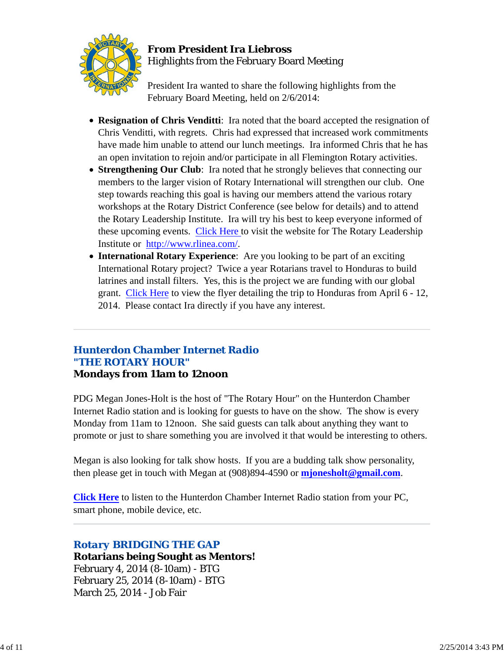

## **From President Ira Liebross** Highlights from the February Board Meeting

President Ira wanted to share the following highlights from the February Board Meeting, held on 2/6/2014:

- **Resignation of Chris Venditti**: Ira noted that the board accepted the resignation of Chris Venditti, with regrets. Chris had expressed that increased work commitments have made him unable to attend our lunch meetings. Ira informed Chris that he has an open invitation to rejoin and/or participate in all Flemington Rotary activities.
- **Strengthening Our Club**: Ira noted that he strongly believes that connecting our members to the larger vision of Rotary International will strengthen our club. One step towards reaching this goal is having our members attend the various rotary workshops at the Rotary District Conference (see below for details) and to attend the Rotary Leadership Institute. Ira will try his best to keep everyone informed of these upcoming events. Click Here to visit the website for The Rotary Leadership Institute or http://www.rlinea.com/.
- **International Rotary Experience**: Are you looking to be part of an exciting International Rotary project? Twice a year Rotarians travel to Honduras to build latrines and install filters. Yes, this is the project we are funding with our global grant. Click Here to view the flyer detailing the trip to Honduras from April 6 - 12, 2014. Please contact Ira directly if you have any interest.

### *Hunterdon Chamber Internet Radio "THE ROTARY HOUR"* **Mondays from 11am to 12noon**

PDG Megan Jones-Holt is the host of "The Rotary Hour" on the Hunterdon Chamber Internet Radio station and is looking for guests to have on the show. The show is every Monday from 11am to 12noon. She said guests can talk about anything they want to promote or just to share something you are involved it that would be interesting to others.

Megan is also looking for talk show hosts. If you are a budding talk show personality, then please get in touch with Megan at (908)894-4590 or **mjonesholt@gmail.com**.

**Click Here** to listen to the Hunterdon Chamber Internet Radio station from your PC, smart phone, mobile device, etc.

# *Rotary BRIDGING THE GAP*

**Rotarians being Sought as Mentors!** February 4, 2014 (8-10am) - BTG February 25, 2014 (8-10am) - BTG March 25, 2014 - Job Fair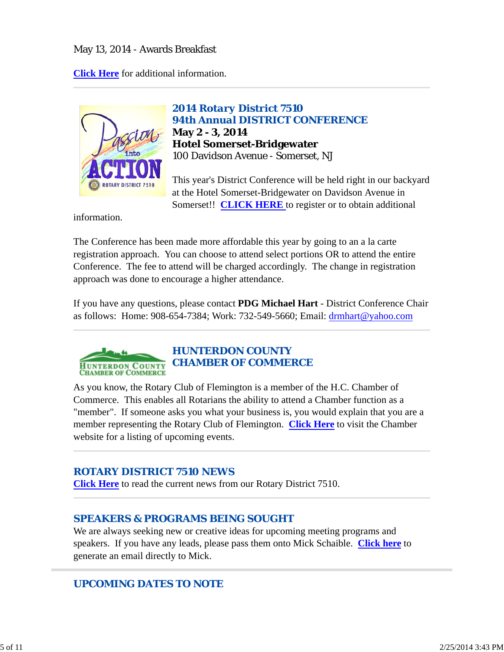### May 13, 2014 - Awards Breakfast

**Click Here** for additional information.



*2014 Rotary District 7510 94th Annual DISTRICT CONFERENCE* **May 2 - 3, 2014 Hotel Somerset-Bridgewater** 100 Davidson Avenue - Somerset, NJ

This year's District Conference will be held right in our backyard at the Hotel Somerset-Bridgewater on Davidson Avenue in Somerset!! **CLICK HERE** to register or to obtain additional

information.

The Conference has been made more affordable this year by going to an a la carte registration approach. You can choose to attend select portions OR to attend the entire Conference. The fee to attend will be charged accordingly. The change in registration approach was done to encourage a higher attendance.

If you have any questions, please contact **PDG Michael Hart** - District Conference Chair as follows: Home: 908-654-7384; Work: 732-549-5660; Email: drmhart@yahoo.com



As you know, the Rotary Club of Flemington is a member of the H.C. Chamber of Commerce. This enables all Rotarians the ability to attend a Chamber function as a "member". If someone asks you what your business is, you would explain that you are a member representing the Rotary Club of Flemington. **Click Here** to visit the Chamber website for a listing of upcoming events.

### *ROTARY DISTRICT 7510 NEWS*

**Click Here** to read the current news from our Rotary District 7510.

## *SPEAKERS & PROGRAMS BEING SOUGHT*

We are always seeking new or creative ideas for upcoming meeting programs and speakers. If you have any leads, please pass them onto Mick Schaible. **Click here** to generate an email directly to Mick.

# *UPCOMING DATES TO NOTE*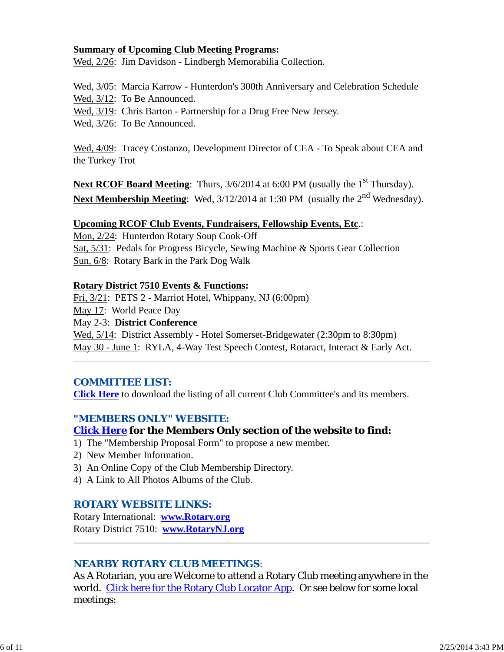#### **Summary of Upcoming Club Meeting Programs:**

Wed, 2/26: Jim Davidson - Lindbergh Memorabilia Collection.

Wed, 3/05: Marcia Karrow - Hunterdon's 300th Anniversary and Celebration Schedule

Wed, 3/12: To Be Announced.

Wed, 3/19: Chris Barton - Partnership for a Drug Free New Jersey.

Wed, 3/26: To Be Announced.

Wed, 4/09: Tracey Costanzo, Development Director of CEA - To Speak about CEA and the Turkey Trot

**Next RCOF Board Meeting**: Thurs, 3/6/2014 at 6:00 PM (usually the 1<sup>st</sup> Thursday). Next Membership Meeting: Wed, 3/12/2014 at 1:30 PM (usually the 2<sup>nd</sup> Wednesday).

#### **Upcoming RCOF Club Events, Fundraisers, Fellowship Events, Etc**.:

Mon, 2/24: Hunterdon Rotary Soup Cook-Off Sat, 5/31: Pedals for Progress Bicycle, Sewing Machine & Sports Gear Collection Sun, 6/8: Rotary Bark in the Park Dog Walk

#### **Rotary District 7510 Events & Functions:**

Fri, 3/21: PETS 2 - Marriot Hotel, Whippany, NJ (6:00pm)

May 17: World Peace Day

May 2-3: **District Conference**

Wed,  $5/14$ : District Assembly - Hotel Somerset-Bridgewater (2:30pm to 8:30pm) May 30 - June 1: RYLA, 4-Way Test Speech Contest, Rotaract, Interact & Early Act.

### *COMMITTEE LIST:*

**Click Here** to download the listing of all current Club Committee's and its members.

### *"MEMBERS ONLY" WEBSITE:*

### **Click Here for the Members Only section of the website to find:**

- 1) The "Membership Proposal Form" to propose a new member.
- 2) New Member Information.
- 3) An Online Copy of the Club Membership Directory.
- 4) A Link to All Photos Albums of the Club.

### *ROTARY WEBSITE LINKS:*

Rotary International: **www.Rotary.org** Rotary District 7510: **www.RotaryNJ.org**

### *NEARBY ROTARY CLUB MEETINGS:*

As A Rotarian, you are Welcome to attend a Rotary Club meeting anywhere in the world. Click here for the Rotary Club Locator App. Or see below for some local meetings: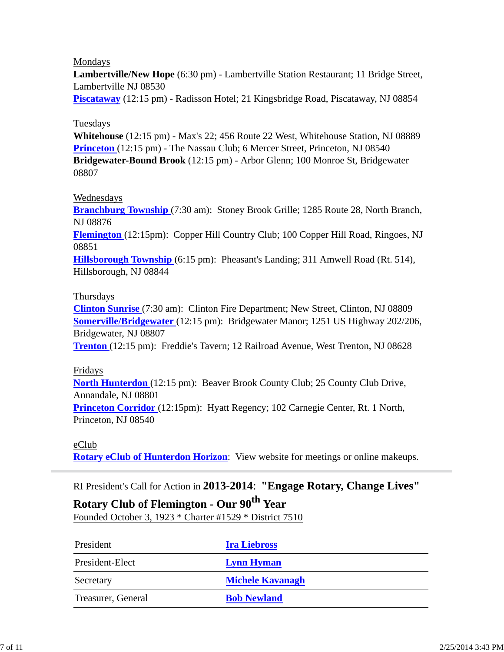#### Mondays

**Lambertville/New Hope** (6:30 pm) - Lambertville Station Restaurant; 11 Bridge Street, Lambertville NJ 08530

**Piscataway** (12:15 pm) - Radisson Hotel; 21 Kingsbridge Road, Piscataway, NJ 08854

### Tuesdays

**Whitehouse** (12:15 pm) - Max's 22; 456 Route 22 West, Whitehouse Station, NJ 08889 **Princeton** (12:15 pm) - The Nassau Club; 6 Mercer Street, Princeton, NJ 08540 **Bridgewater-Bound Brook** (12:15 pm) - Arbor Glenn; 100 Monroe St, Bridgewater 08807

### Wednesdays

**Branchburg Township** (7:30 am): Stoney Brook Grille; 1285 Route 28, North Branch, NJ 08876

**Flemington** (12:15pm): Copper Hill Country Club; 100 Copper Hill Road, Ringoes, NJ 08851

**Hillsborough Township** (6:15 pm): Pheasant's Landing; 311 Amwell Road (Rt. 514), Hillsborough, NJ 08844

#### **Thursdays**

**Clinton Sunrise** (7:30 am): Clinton Fire Department; New Street, Clinton, NJ 08809 **Somerville/Bridgewater** (12:15 pm): Bridgewater Manor; 1251 US Highway 202/206, Bridgewater, NJ 08807

**Trenton** (12:15 pm): Freddie's Tavern; 12 Railroad Avenue, West Trenton, NJ 08628

#### Fridays

**North Hunterdon** (12:15 pm): Beaver Brook County Club; 25 County Club Drive, Annandale, NJ 08801

**Princeton Corridor** (12:15pm): Hyatt Regency; 102 Carnegie Center, Rt. 1 North, Princeton, NJ 08540

#### eClub

**Rotary eClub of Hunterdon Horizon**: View website for meetings or online makeups.

### RI President's Call for Action in **2013-2014**: **"Engage Rotary, Change Lives"**

## **Rotary Club of Flemington - Our 90th Year**

Founded October 3, 1923 \* Charter #1529 \* District 7510

| President          | <b>Ira Liebross</b>     |
|--------------------|-------------------------|
| President-Elect    | <b>Lynn Hyman</b>       |
| Secretary          | <b>Michele Kavanagh</b> |
| Treasurer, General | <b>Bob Newland</b>      |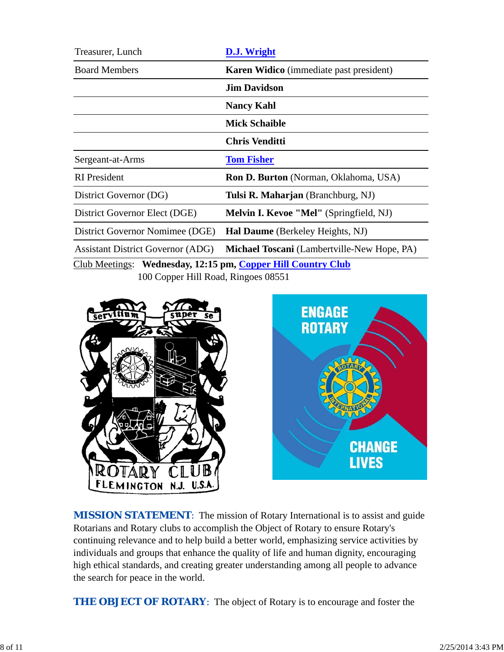| Treasurer, Lunch                                             | D.J. Wright                                    |  |  |
|--------------------------------------------------------------|------------------------------------------------|--|--|
| <b>Board Members</b>                                         | <b>Karen Widico</b> (immediate past president) |  |  |
|                                                              | <b>Jim Davidson</b>                            |  |  |
|                                                              | <b>Nancy Kahl</b>                              |  |  |
|                                                              | <b>Mick Schaible</b>                           |  |  |
|                                                              | <b>Chris Venditti</b>                          |  |  |
| Sergeant-at-Arms                                             | <b>Tom Fisher</b>                              |  |  |
| <b>RI</b> President                                          | <b>Ron D. Burton</b> (Norman, Oklahoma, USA)   |  |  |
| District Governor (DG)                                       | Tulsi R. Maharjan (Branchburg, NJ)             |  |  |
| District Governor Elect (DGE)                                | Melvin I. Kevoe "Mel" (Springfield, NJ)        |  |  |
| District Governor Nomimee (DGE)                              | Hal Daume (Berkeley Heights, NJ)               |  |  |
| <b>Assistant District Governor (ADG)</b>                     | Michael Toscani (Lambertville-New Hope, PA)    |  |  |
| Club Meetings: Wednesday, 12:15 pm, Copper Hill Country Club |                                                |  |  |

100 Copper Hill Road, Ringoes 08551





**MISSION STATEMENT:** The mission of Rotary International is to assist and guide Rotarians and Rotary clubs to accomplish the Object of Rotary to ensure Rotary's continuing relevance and to help build a better world, emphasizing service activities by individuals and groups that enhance the quality of life and human dignity, encouraging high ethical standards, and creating greater understanding among all people to advance the search for peace in the world.

**THE OBJECT OF ROTARY:** The object of Rotary is to encourage and foster the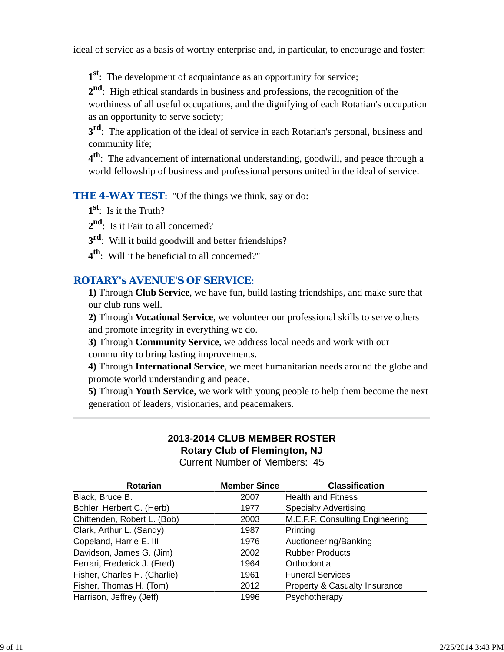ideal of service as a basis of worthy enterprise and, in particular, to encourage and foster:

**1st**: The development of acquaintance as an opportunity for service;

**2nd**: High ethical standards in business and professions, the recognition of the worthiness of all useful occupations, and the dignifying of each Rotarian's occupation as an opportunity to serve society;

**3rd**: The application of the ideal of service in each Rotarian's personal, business and community life;

**4th**: The advancement of international understanding, goodwill, and peace through a world fellowship of business and professional persons united in the ideal of service.

*THE 4-WAY TEST*: "Of the things we think, say or do:

**1st**: Is it the Truth?

2<sup>nd</sup>: Is it Fair to all concerned?

- **3rd**: Will it build goodwill and better friendships?
- **4th**: Will it be beneficial to all concerned?"

## *ROTARY's AVENUE'S OF SERVICE*:

**1)** Through **Club Service**, we have fun, build lasting friendships, and make sure that our club runs well.

**2)** Through **Vocational Service**, we volunteer our professional skills to serve others and promote integrity in everything we do.

**3)** Through **Community Service**, we address local needs and work with our community to bring lasting improvements.

**4)** Through **International Service**, we meet humanitarian needs around the globe and promote world understanding and peace.

**5)** Through **Youth Service**, we work with young people to help them become the next generation of leaders, visionaries, and peacemakers.

# **2013-2014 CLUB MEMBER ROSTER Rotary Club of Flemington, NJ**

Current Number of Members: 45

| Rotarian                     | <b>Member Since</b> | <b>Classification</b>           |
|------------------------------|---------------------|---------------------------------|
| Black, Bruce B.              | 2007                | <b>Health and Fitness</b>       |
| Bohler, Herbert C. (Herb)    | 1977                | <b>Specialty Advertising</b>    |
| Chittenden, Robert L. (Bob)  | 2003                | M.E.F.P. Consulting Engineering |
| Clark, Arthur L. (Sandy)     | 1987                | Printing                        |
| Copeland, Harrie E. III      | 1976                | Auctioneering/Banking           |
| Davidson, James G. (Jim)     | 2002                | <b>Rubber Products</b>          |
| Ferrari, Frederick J. (Fred) | 1964                | Orthodontia                     |
| Fisher, Charles H. (Charlie) | 1961                | <b>Funeral Services</b>         |
| Fisher, Thomas H. (Tom)      | 2012                | Property & Casualty Insurance   |
| Harrison, Jeffrey (Jeff)     | 1996                | Psychotherapy                   |
|                              |                     |                                 |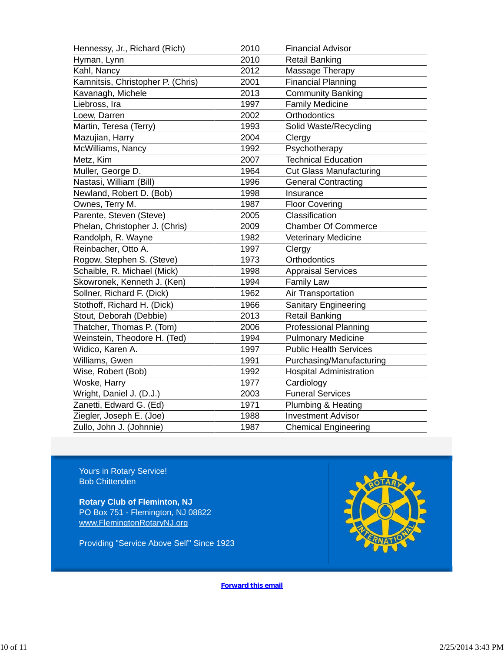| 2010 | <b>Financial Advisor</b>       |
|------|--------------------------------|
| 2010 | <b>Retail Banking</b>          |
| 2012 | Massage Therapy                |
| 2001 | <b>Financial Planning</b>      |
| 2013 | <b>Community Banking</b>       |
| 1997 | <b>Family Medicine</b>         |
| 2002 | Orthodontics                   |
| 1993 | Solid Waste/Recycling          |
| 2004 | Clergy                         |
| 1992 | Psychotherapy                  |
| 2007 | <b>Technical Education</b>     |
| 1964 | <b>Cut Glass Manufacturing</b> |
| 1996 | <b>General Contracting</b>     |
| 1998 | Insurance                      |
| 1987 | <b>Floor Covering</b>          |
| 2005 | Classification                 |
| 2009 | <b>Chamber Of Commerce</b>     |
| 1982 | <b>Veterinary Medicine</b>     |
| 1997 | Clergy                         |
| 1973 | Orthodontics                   |
| 1998 | <b>Appraisal Services</b>      |
| 1994 | <b>Family Law</b>              |
| 1962 | Air Transportation             |
| 1966 | <b>Sanitary Engineering</b>    |
| 2013 | <b>Retail Banking</b>          |
| 2006 | <b>Professional Planning</b>   |
| 1994 | <b>Pulmonary Medicine</b>      |
| 1997 | <b>Public Health Services</b>  |
| 1991 | Purchasing/Manufacturing       |
| 1992 | <b>Hospital Administration</b> |
| 1977 | Cardiology                     |
| 2003 | <b>Funeral Services</b>        |
| 1971 | Plumbing & Heating             |
| 1988 | <b>Investment Advisor</b>      |
| 1987 | <b>Chemical Engineering</b>    |
|      |                                |

Yours in Rotary Service! Bob Chittenden

**Rotary Club of Fleminton, NJ** PO Box 751 - Flemington, NJ 08822 www.FlemingtonRotaryNJ.org

Providing "Service Above Self" Since 1923



**Forward this email**